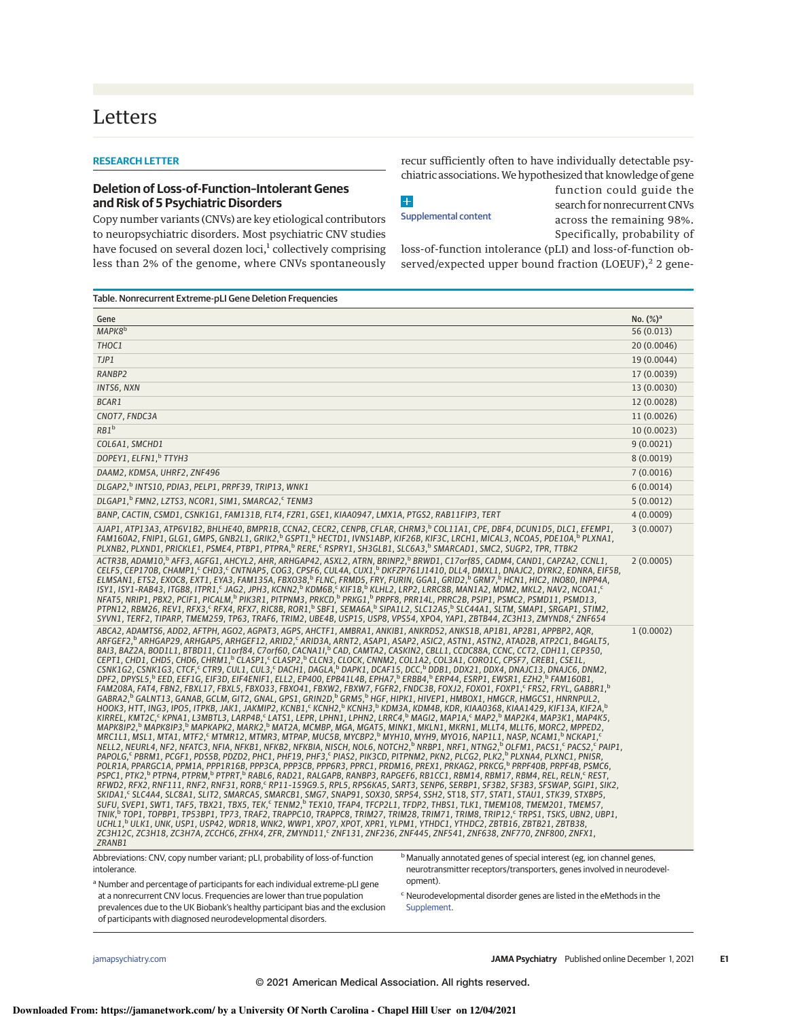## Letters

## **RESEARCH LETTER**

## **Deletion of Loss-of-Function–Intolerant Genes and Risk of 5 Psychiatric Disorders**

Table. Nonrecurrent Extreme-pLI Gene Deletion Frequencies

Copy number variants (CNVs) are key etiological contributors to neuropsychiatric disorders. Most psychiatric CNV studies have focused on several dozen loci,<sup>1</sup> collectively comprising less than 2% of the genome, where CNVs spontaneously recur sufficiently often to have individually detectable psychiatric associations.We hypothesized that knowledge of gene

 $+$ Supplemental content function could guide the search for nonrecurrent CNVs across the remaining 98%. Specifically, probability of

loss-of-function intolerance (pLI) and loss-of-function observed/expected upper bound fraction (LOEUF),<sup>2</sup> 2 gene-

| Gene                              | No. $(\%)^a$ |
|-----------------------------------|--------------|
| MAPK8 <sup>b</sup>                | 56(0.013)    |
| THOC1                             | 20 (0.0046)  |
| TJP1                              | 19 (0.0044)  |
| RANBP2                            | 17 (0.0039)  |
| INTS6, NXN                        | 13 (0.0030)  |
| BCAR1                             | 12 (0.0028)  |
| CNOT7, FNDC3A                     | 11 (0.0026)  |
| RB1 <sup>b</sup>                  | 10 (0.0023)  |
| COL6A1, SMCHD1                    | 9(0.0021)    |
| DOPEY1, ELFN1, <sup>b</sup> TTYH3 | 8(0.0019)    |
| DAAM2, KDM5A, UHRF2, ZNF496       | 7(0.0016)    |

TTYH3 8 (0.0019) DAAM2, KDM5A, UHRF2, ZNF496 7 (0.0016) DLGAP2, b INTS10, PDIA3, PELP1, PRPF39, TRIP13, WNK1 6 (0.0014) DLGAP1,<sup>b</sup> FMN2, LZTS3, NCOR1, SIM1, SMARCA2,<sup>c</sup>  $5 (0.0012)$ BANP, CACTIN, CSMD1, CSNK1G1, FAM131B, FLT4, FZR1, GSE1, KIAA0947, LMX1A, PTGS2, RAB11FIP3, TERT 4 (0.0009) 4 (0.0009) AJAP1, ATP13A3, ATP6V1B2, BHLHE40, BMPR1B, CCNA2, CECR2, CENPB, CFLAR, CHRM3,<sup>b</sup> COL11A1, CPE, DBF4, DCUN1D5, DLC1, EFEMP1,<br>FAM16OA2, FNIP1, GLG1, GMPS, GNB2L1, GRIK2,<sup>b</sup> GSPT1,<sup>b</sup> HECTD1, IVNS1ABP, KIF26B, KIF3C, LRCH1, M 3 (0.0007) ACTR3B, ADAM10,<sup>b</sup> AFF3, AGFG1, AHCYL2, AHR, ARHGAP42, ASXL2, ATRN, BRINP2,<sup>b</sup> BRWD1, C17orf85, CADM4, CAND1, CAPZA2, CCNL1,<br>CELF5, CEP170B, CHAMP1,<sup>c</sup> CHD3,<sup>c</sup> CNTNAP5, COG3, CPSF6, CUL4A, CUX1,<sup>b</sup> DKFZP761J1410, DLL4, DM NFAT5, NRIP1, PBX2, PCIF1, PICALM, <sup>6</sup> PIK3R1, PITPNM3, PRKCD, <sup>6</sup> PRKG1, <sup>6</sup> PRPF8, PRRT4L, PRRC2B, PSIP1, PSMC2, PSMD11, PSMD13,<br>PTPN12, RBM26, REV1, RFX3, SRFX4, RFX7, RIC8B, ROR1, <sup>6</sup> SBF1, SEMA6A, <sup>6</sup> SIPA1L2, SLC12A5 SYVN1, TERF2, TIPARP, TMEM259, TP63, TRAF6, TRIM2, UBE4B, USP15, USP8, VPS54, XPO4, YAP1, ZBTB44, ZC3H13, ZMYND8, ZNF654 2 (0.0005) ABCA2, ADAMTS6, ADD2, AFTPH, AGO2, AGPAT3, AGPS, AHCTF1, AMBRA1, ANKIB1, ANKRD52, ANKS1B, AP1B1, AP2B1, APPBP2, AQR, ARFGEF2,ʰ ARHGÁP29, ÁRHGAP5, ARHGEF12, ÁRID2,ˤ ÁRID3A, ÁRNT2, ASAP1, ASÁP2, ASIC2, ASTN1, ÁSTN2, ÁTAD2B, ATP2C1, B4GÁLT5,<br>BAI3, BAZ2A, BOD1L1, BTBD11, C11orf84, C7orf60, CACNA1I,ʰ CAD, CAMTA2, CASKIN2, CBLL1, CCDC88A, CCNC FAM208A, FAT4, FBN2, FBXL17, FBXL5, FBXO33, FBX041, FBXW2, FBXW7, FGFR2, FNDC3B, FOXJ2, FOXO1, FOXP1,° FRS2, FRYL, GABBR1, GABRA2,<sup>6</sup> GALNT13, GANAB, GCLM, GIT2, GNAL, GPS1, GRIN2D,<sup>b '</sup>GRM5,<sup>b'</sup>HGF, HIPK1, HIVEP1, HMBOX1, HMGCR, HMGCS1, HNRNPUL2,<br>HOOK3, HTT, ING3, IPO5, ITPKB, JAK1, JAKMIP2, KCNB1,<sup>c</sup> KCNH2,<sup>b</sup> KCNH3,<sup>b</sup> KDM3A, KDM4B, KDR, KI KIRREL, KMT2C,<sup>c</sup> KPNA1, L3MBTL3, LARP4B,<sup>c</sup> LATS1, LEPR, LPHN1, LPHN2, LRRC4,<sup>b'</sup>MAGI2, MAP1A,<sup>c</sup> MAP2,<sup>b'</sup>MAP2K4, MAP3K1, MAP4K5,<br>MAPK8IP2,<sup>b</sup> MAPK8IP3,<sup>b</sup> MAPKAPK2, MARK2,<sup>b</sup> MAT2A, MCMBP, MGA, MGAT5, MINK1, MKLN1, MKRN MRC1L1, MSL1, MTA1, MTF2,<sup>c</sup> MTMR12, MTMR3, MTPAP, MUC5B, MYCBP2,<sup>b</sup> MYH10, MYH9, MYO16, NAP1L1, NASP, NCAM1,<sup>b</sup> NCKAP1,<sup>c</sup> NELL2, ŃEURL4, NF2, NFATC3, NFIA, NFKB1, NFKB2, NFKBIA, NISCH, NOL6, NOTCH2, "NRBP1, NRF1, NTNG2," OLFM1, PACS1, SPACS2, SPAIP1, PAPOLG,< PBRM1, PCGF1, PDS5B, PDZD2, PHC1, PHF19, PHF3,< PIAS2, PIK3CD, PITPNM2, PKN2, PLCG2, PLK2,\* PLXNA4, PLXNC1, PNISR,<br>POLR1A, PPARGC1A, PPM1A, PPP1R16B, PPP3CA, PPP3CB, PPP6R3, PPRC1, PRDM16, PREX1, PRKAG2, PRKCG,\* P 1 (0.0002)

ZC3H12C, ZC3H18, ZC3H7A, ZCCHC6, ZFHX4, ZFR, ZMYND11,<sup>c</sup> ZNF131, ZNF236, ZNF445, ZNF541, ZNF638, ZNF770, ZNF800, ZNFX1, ZRANB1

Abbreviations: CNV, copy number variant; pLI, probability of loss-of-function intolerance.

**b** Manually annotated genes of special interest (eg, ion channel genes, neurotransmitter receptors/transporters, genes involved in neurodevelopment).

<sup>a</sup> Number and percentage of participants for each individual extreme-pLI gene at a nonrecurrent CNV locus. Frequencies are lower than true population prevalences due to the UK Biobank's healthy participant bias and the exclusion of participants with diagnosed neurodevelopmental disorders.

<sup>c</sup> Neurodevelopmental disorder genes are listed in the eMethods in the Supplement.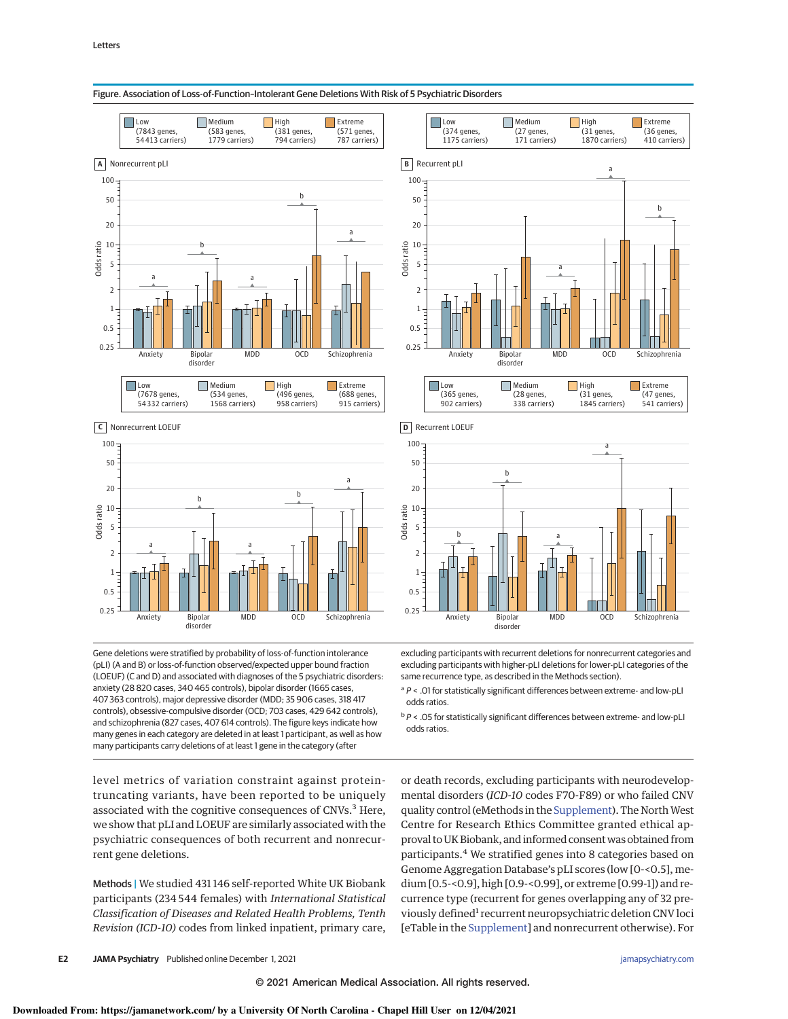



Gene deletions were stratified by probability of loss-of-function intolerance (pLI) (A and B) or loss-of-function observed/expected upper bound fraction (LOEUF) (C and D) and associated with diagnoses of the 5 psychiatric disorders: anxiety (28 820 cases, 340 465 controls), bipolar disorder (1665 cases, 407 363 controls), major depressive disorder (MDD; 35 906 cases, 318 417 controls), obsessive-compulsive disorder (OCD; 703 cases, 429 642 controls), and schizophrenia (827 cases, 407 614 controls). The figure keys indicate how many genes in each category are deleted in at least 1 participant, as well as how many participants carry deletions of at least 1 gene in the category (after

level metrics of variation constraint against proteintruncating variants, have been reported to be uniquely associated with the cognitive consequences of CNVs.<sup>3</sup> Here, we show that pLI and LOEUF are similarly associated with the psychiatric consequences of both recurrent and nonrecurrent gene deletions.

Methods | We studied 431 146 self-reported White UK Biobank participants (234 544 females) with International Statistical Classification of Diseases and Related Health Problems, Tenth Revision (ICD-10) codes from linked inpatient, primary care,



excluding participants with recurrent deletions for nonrecurrent categories and excluding participants with higher-pLI deletions for lower-pLI categories of the same recurrence type, as described in the Methods section).

<sup>a</sup> P < .01 for statistically significant differences between extreme- and low-pLI odds ratios.

<sup>b</sup> P < .05 for statistically significant differences between extreme- and low-pLI odds ratios.

or death records, excluding participants with neurodevelopmental disorders (ICD-10 codes F70-F89) or who failed CNV quality control (eMethods in the Supplement). The North West Centre for Research Ethics Committee granted ethical approval to UK Biobank, and informed consent was obtained from participants.<sup>4</sup> We stratified genes into 8 categories based on Genome Aggregation Database's pLI scores (low [0-<0.5], medium [0.5-<0.9], high [0.9-<0.99], or extreme [0.99-1]) and recurrence type (recurrent for genes overlapping any of 32 previously defined<sup>1</sup> recurrent neuropsychiatric deletion CNV loci [eTable in the Supplement] and nonrecurrent otherwise). For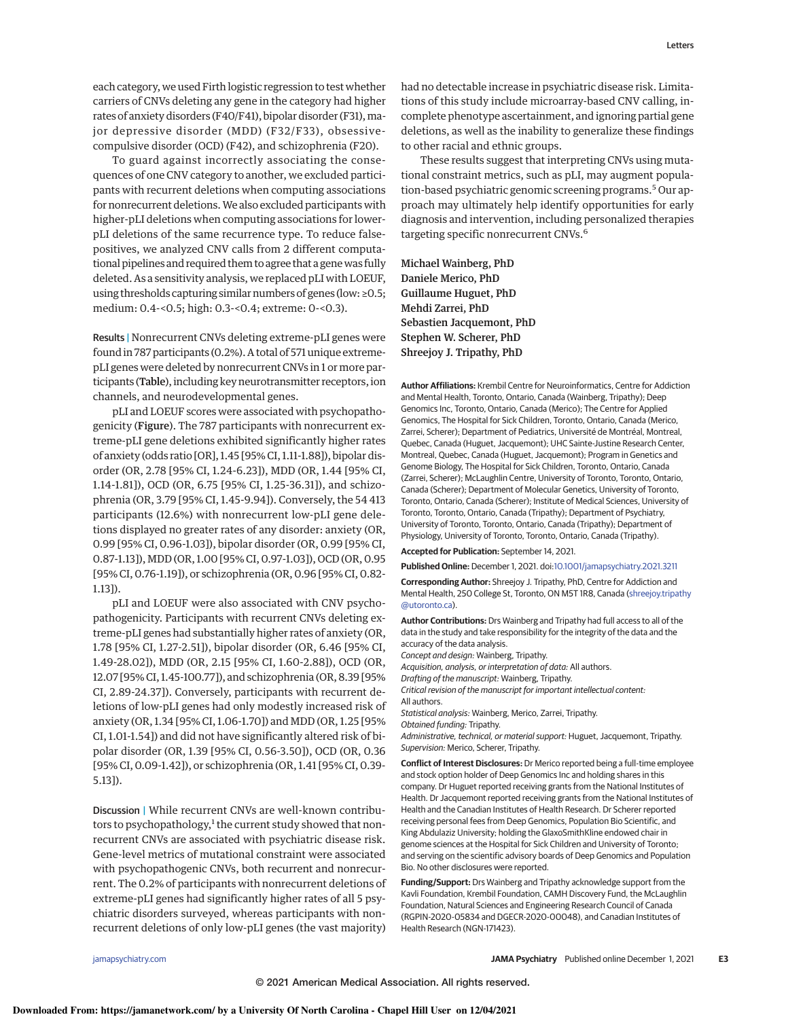each category, we used Firth logistic regression to test whether carriers of CNVs deleting any gene in the category had higher rates of anxiety disorders (F40/F41), bipolar disorder (F31), major depressive disorder (MDD) (F32/F33), obsessivecompulsive disorder (OCD) (F42), and schizophrenia (F20).

To guard against incorrectly associating the consequences of one CNV category to another, we excluded participants with recurrent deletions when computing associations for nonrecurrent deletions.We also excluded participants with higher-pLI deletions when computing associations for lowerpLI deletions of the same recurrence type. To reduce falsepositives, we analyzed CNV calls from 2 different computational pipelines and required them to agree that a genewas fully deleted. As a sensitivity analysis, we replaced pLI with LOEUF, using thresholds capturing similar numbers of genes (low: ≥0.5; medium: 0.4-<0.5; high: 0.3-<0.4; extreme: 0-<0.3).

Results | Nonrecurrent CNVs deleting extreme-pLI genes were found in 787 participants (0.2%). A total of 571 unique extremepLI genes were deleted by nonrecurrent CNVs in 1 or more participants (Table), including key neurotransmitter receptors, ion channels, and neurodevelopmental genes.

pLI and LOEUF scores were associated with psychopathogenicity (Figure). The 787 participants with nonrecurrent extreme-pLI gene deletions exhibited significantly higher rates of anxiety (odds ratio [OR], 1.45 [95% CI, 1.11-1.88]), bipolar disorder (OR, 2.78 [95% CI, 1.24-6.23]), MDD (OR, 1.44 [95% CI, 1.14-1.81]), OCD (OR, 6.75 [95% CI, 1.25-36.31]), and schizophrenia (OR, 3.79 [95% CI, 1.45-9.94]). Conversely, the 54 413 participants (12.6%) with nonrecurrent low-pLI gene deletions displayed no greater rates of any disorder: anxiety (OR, 0.99 [95% CI, 0.96-1.03]), bipolar disorder (OR, 0.99 [95% CI, 0.87-1.13]), MDD (OR, 1.00 [95% CI, 0.97-1.03]), OCD (OR, 0.95 [95% CI, 0.76-1.19]), or schizophrenia (OR, 0.96 [95% CI, 0.82- 1.13]).

pLI and LOEUF were also associated with CNV psychopathogenicity. Participants with recurrent CNVs deleting extreme-pLI genes had substantially higher rates of anxiety (OR, 1.78 [95% CI, 1.27-2.51]), bipolar disorder (OR, 6.46 [95% CI, 1.49-28.02]), MDD (OR, 2.15 [95% CI, 1.60-2.88]), OCD (OR, 12.07 [95% CI, 1.45-100.77]), and schizophrenia (OR, 8.39 [95% CI, 2.89-24.37]). Conversely, participants with recurrent deletions of low-pLI genes had only modestly increased risk of anxiety (OR, 1.34 [95% CI, 1.06-1.70]) and MDD (OR, 1.25 [95% CI, 1.01-1.54]) and did not have significantly altered risk of bipolar disorder (OR, 1.39 [95% CI, 0.56-3.50]), OCD (OR, 0.36 [95% CI, 0.09-1.42]), or schizophrenia (OR, 1.41 [95% CI, 0.39- 5.13]).

Discussion | While recurrent CNVs are well-known contributors to psychopathology,<sup>1</sup> the current study showed that nonrecurrent CNVs are associated with psychiatric disease risk. Gene-level metrics of mutational constraint were associated with psychopathogenic CNVs, both recurrent and nonrecurrent. The 0.2% of participants with nonrecurrent deletions of extreme-pLI genes had significantly higher rates of all 5 psychiatric disorders surveyed, whereas participants with nonrecurrent deletions of only low-pLI genes (the vast majority)

had no detectable increase in psychiatric disease risk. Limitations of this study include microarray-based CNV calling, incomplete phenotype ascertainment, and ignoring partial gene deletions, as well as the inability to generalize these findings to other racial and ethnic groups.

These results suggest that interpreting CNVs using mutational constraint metrics, such as pLI, may augment population-based psychiatric genomic screening programs.<sup>5</sup> Our approach may ultimately help identify opportunities for early diagnosis and intervention, including personalized therapies targeting specific nonrecurrent CNVs.<sup>6</sup>

Michael Wainberg, PhD Daniele Merico, PhD Guillaume Huguet, PhD Mehdi Zarrei, PhD Sebastien Jacquemont, PhD Stephen W. Scherer, PhD Shreejoy J. Tripathy, PhD

**Author Affiliations:** Krembil Centre for Neuroinformatics, Centre for Addiction and Mental Health, Toronto, Ontario, Canada (Wainberg, Tripathy); Deep Genomics Inc, Toronto, Ontario, Canada (Merico); The Centre for Applied Genomics, The Hospital for Sick Children, Toronto, Ontario, Canada (Merico, Zarrei, Scherer); Department of Pediatrics, Université de Montréal, Montreal, Quebec, Canada (Huguet, Jacquemont); UHC Sainte-Justine Research Center, Montreal, Quebec, Canada (Huguet, Jacquemont); Program in Genetics and Genome Biology, The Hospital for Sick Children, Toronto, Ontario, Canada (Zarrei, Scherer); McLaughlin Centre, University of Toronto, Toronto, Ontario, Canada (Scherer); Department of Molecular Genetics, University of Toronto, Toronto, Ontario, Canada (Scherer); Institute of Medical Sciences, University of Toronto, Toronto, Ontario, Canada (Tripathy); Department of Psychiatry, University of Toronto, Toronto, Ontario, Canada (Tripathy); Department of Physiology, University of Toronto, Toronto, Ontario, Canada (Tripathy).

**Accepted for Publication:** September 14, 2021.

**Published Online:** December 1, 2021. doi:10.1001/jamapsychiatry.2021.3211

**Corresponding Author:** Shreejoy J. Tripathy, PhD, Centre for Addiction and Mental Health, 250 College St, Toronto, ON M5T 1R8, Canada (shreejoy.tripathy @utoronto.ca).

**Author Contributions:** Drs Wainberg and Tripathy had full access to all of the data in the study and take responsibility for the integrity of the data and the accuracy of the data analysis.

Concept and design: Wainberg, Tripathy.

Acquisition, analysis, or interpretation of data: All authors.

Drafting of the manuscript: Wainberg, Tripathy. Critical revision of the manuscript for important intellectual content: All authors.

Statistical analysis: Wainberg, Merico, Zarrei, Tripathy.

Obtained funding: Tripathy.

Administrative, technical, or material support: Huguet, Jacquemont, Tripathy. Supervision: Merico, Scherer, Tripathy.

**Conflict of Interest Disclosures:** Dr Merico reported being a full-time employee and stock option holder of Deep Genomics Inc and holding shares in this company. Dr Huguet reported receiving grants from the National Institutes of Health. Dr Jacquemont reported receiving grants from the National Institutes of Health and the Canadian Institutes of Health Research. Dr Scherer reported receiving personal fees from Deep Genomics, Population Bio Scientific, and King Abdulaziz University; holding the GlaxoSmithKline endowed chair in genome sciences at the Hospital for Sick Children and University of Toronto; and serving on the scientific advisory boards of Deep Genomics and Population Bio. No other disclosures were reported.

**Funding/Support:** Drs Wainberg and Tripathy acknowledge support from the Kavli Foundation, Krembil Foundation, CAMH Discovery Fund, the McLaughlin Foundation, Natural Sciences and Engineering Research Council of Canada (RGPIN-2020-05834 and DGECR-2020-00048), and Canadian Institutes of Health Research (NGN-171423).